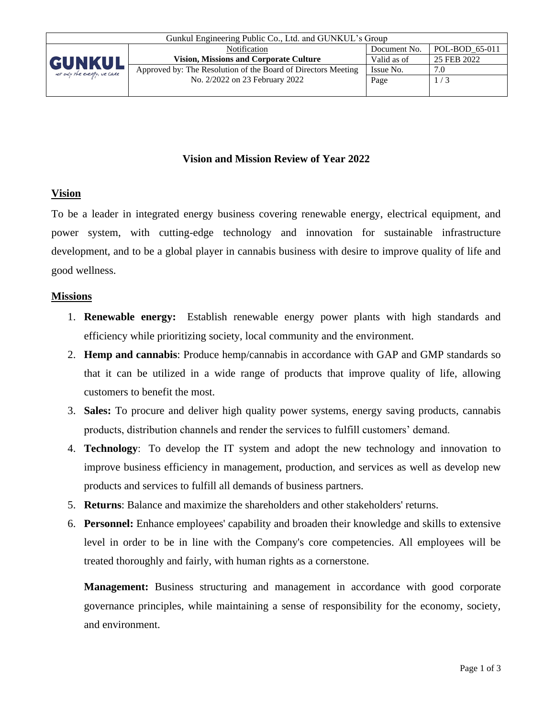

### **Vision and Mission Review of Year 2022**

### **Vision**

To be a leader in integrated energy business covering renewable energy, electrical equipment, and power system, with cutting-edge technology and innovation for sustainable infrastructure development, and to be a global player in cannabis business with desire to improve quality of life and good wellness.

#### **Missions**

- 1. **Renewable energy:** Establish renewable energy power plants with high standards and efficiency while prioritizing society, local community and the environment.
- 2. **Hemp and cannabis**: Produce hemp/cannabis in accordance with GAP and GMP standards so that it can be utilized in a wide range of products that improve quality of life, allowing customers to benefit the most.
- 3. **Sales:** To procure and deliver high quality power systems, energy saving products, cannabis products, distribution channels and render the services to fulfill customers' demand.
- 4. **Technology**: To develop the IT system and adopt the new technology and innovation to improve business efficiency in management, production, and services as well as develop new products and services to fulfill all demands of business partners.
- 5. **Returns**: Balance and maximize the shareholders and other stakeholders' returns.
- 6. **Personnel:** Enhance employees' capability and broaden their knowledge and skills to extensive level in order to be in line with the Company's core competencies. All employees will be treated thoroughly and fairly, with human rights as a cornerstone.

**Management:** Business structuring and management in accordance with good corporate governance principles, while maintaining a sense of responsibility for the economy, society, and environment.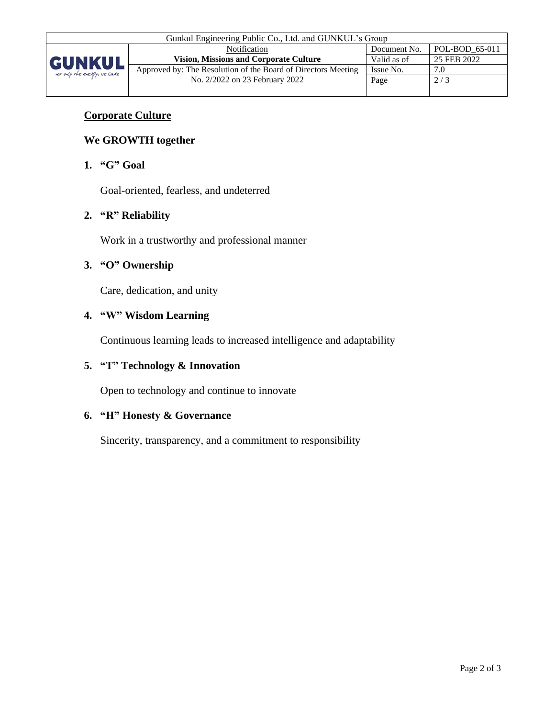

# **Corporate Culture**

## **We GROWTH together**

#### **1. "G" Goal**

Goal-oriented, fearless, and undeterred

### **2. "R" Reliability**

Work in a trustworthy and professional manner

### **3. "O" Ownership**

Care, dedication, and unity

#### **4. "W" Wisdom Learning**

Continuous learning leads to increased intelligence and adaptability

# **5. "T" Technology & Innovation**

Open to technology and continue to innovate

### **6. "H" Honesty & Governance**

Sincerity, transparency, and a commitment to responsibility